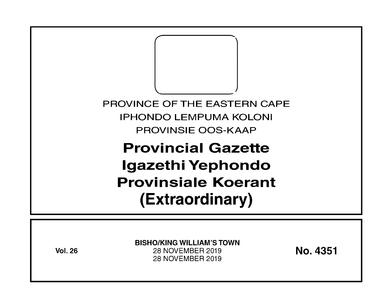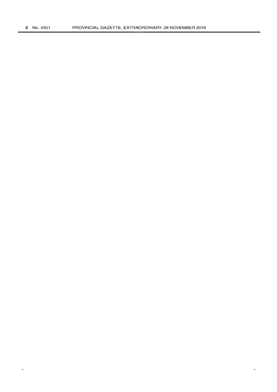$\bar{\mathbf{z}}$ 

 $\tilde{\phantom{a}}$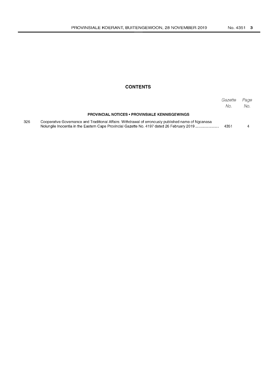### **CONTENTS**

|     |                                                                                                                                                                                                   | Gazette<br>No. | Page<br>No. |
|-----|---------------------------------------------------------------------------------------------------------------------------------------------------------------------------------------------------|----------------|-------------|
|     | <b>PROVINCIAL NOTICES • PROVINSIALE KENNISGEWINGS</b>                                                                                                                                             |                |             |
| 326 | Cooperative Governance and Traditional Affairs: Withdrawal of erronously published name of Ngcanasa<br>Nolungile Inocentia in the Eastern Cape Provincial Gazette No. 4197 dated 26 February 2019 | 4351           |             |